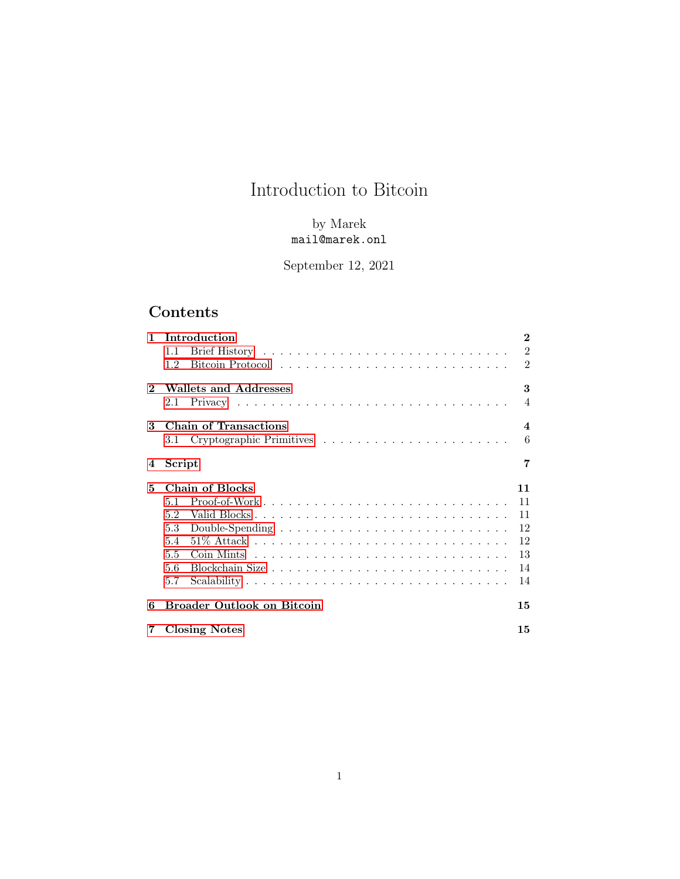# Introduction to Bitcoin

### by Marek mail@marek.onl

## September 12, 2021

## Contents

| 1.           | <b>Introduction</b>               | $\overline{2}$   |
|--------------|-----------------------------------|------------------|
|              | 1.1                               | $\overline{2}$   |
|              | 1.2                               | $\overline{2}$   |
| $\mathbf{2}$ | Wallets and Addresses             | 3                |
|              | 2.1                               | $\overline{4}$   |
| 3            | <b>Chain of Transactions</b>      | $\boldsymbol{4}$ |
|              |                                   | 6                |
| 4            | Script                            | 7                |
| 5            | Chain of Blocks                   | 11               |
|              | 5.1                               | 11               |
|              | 5.2                               | 11               |
|              | 5.3                               | 12               |
|              | 5.4                               | 12               |
|              | 5.5                               | 13               |
|              | 5.6                               | 14               |
|              | 5.7                               | 14               |
| 6            | <b>Broader Outlook on Bitcoin</b> | 15               |
| 7            | <b>Closing Notes</b>              | 15               |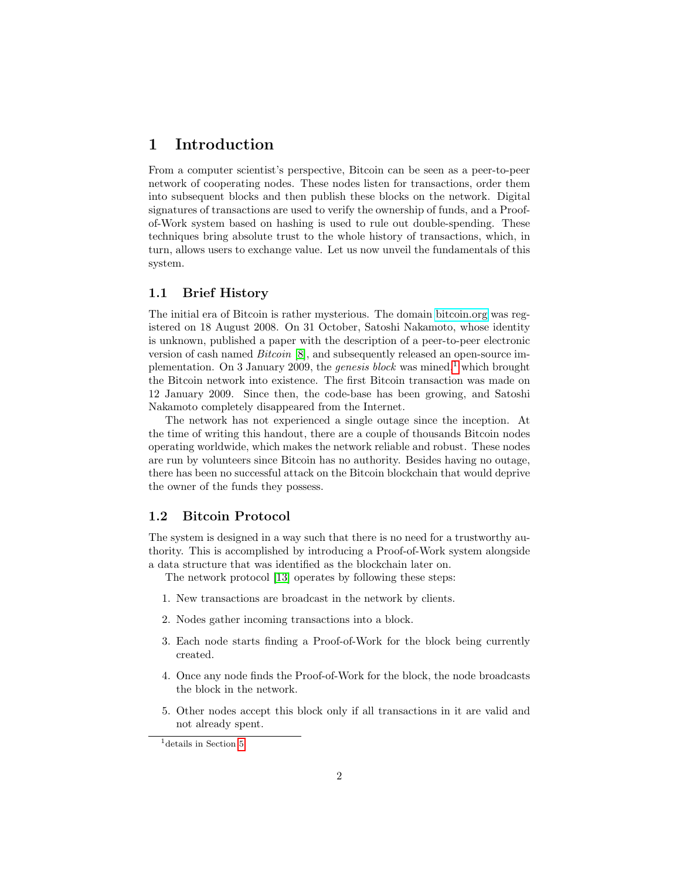### <span id="page-1-0"></span>1 Introduction

From a computer scientist's perspective, Bitcoin can be seen as a peer-to-peer network of cooperating nodes. These nodes listen for transactions, order them into subsequent blocks and then publish these blocks on the network. Digital signatures of transactions are used to verify the ownership of funds, and a Proofof-Work system based on hashing is used to rule out double-spending. These techniques bring absolute trust to the whole history of transactions, which, in turn, allows users to exchange value. Let us now unveil the fundamentals of this system.

#### <span id="page-1-1"></span>1.1 Brief History

The initial era of Bitcoin is rather mysterious. The domain [bitcoin.org](www.bitcoin.org) was registered on 18 August 2008. On 31 October, Satoshi Nakamoto, whose identity is unknown, published a paper with the description of a peer-to-peer electronic version of cash named Bitcoin [\[8\]](#page-16-0), and subsequently released an open-source implementation. On 3 January 2009, the *genesis block* was mined,<sup>[1](#page-1-3)</sup> which brought the Bitcoin network into existence. The first Bitcoin transaction was made on 12 January 2009. Since then, the code-base has been growing, and Satoshi Nakamoto completely disappeared from the Internet.

The network has not experienced a single outage since the inception. At the time of writing this handout, there are a couple of thousands Bitcoin nodes operating worldwide, which makes the network reliable and robust. These nodes are run by volunteers since Bitcoin has no authority. Besides having no outage, there has been no successful attack on the Bitcoin blockchain that would deprive the owner of the funds they possess.

#### <span id="page-1-2"></span>1.2 Bitcoin Protocol

The system is designed in a way such that there is no need for a trustworthy authority. This is accomplished by introducing a Proof-of-Work system alongside a data structure that was identified as the blockchain later on.

The network protocol [\[13\]](#page-16-1) operates by following these steps:

- 1. New transactions are broadcast in the network by clients.
- 2. Nodes gather incoming transactions into a block.
- 3. Each node starts finding a Proof-of-Work for the block being currently created.
- 4. Once any node finds the Proof-of-Work for the block, the node broadcasts the block in the network.
- 5. Other nodes accept this block only if all transactions in it are valid and not already spent.

<span id="page-1-3"></span><sup>&</sup>lt;sup>1</sup>details in Section [5.](#page-10-0)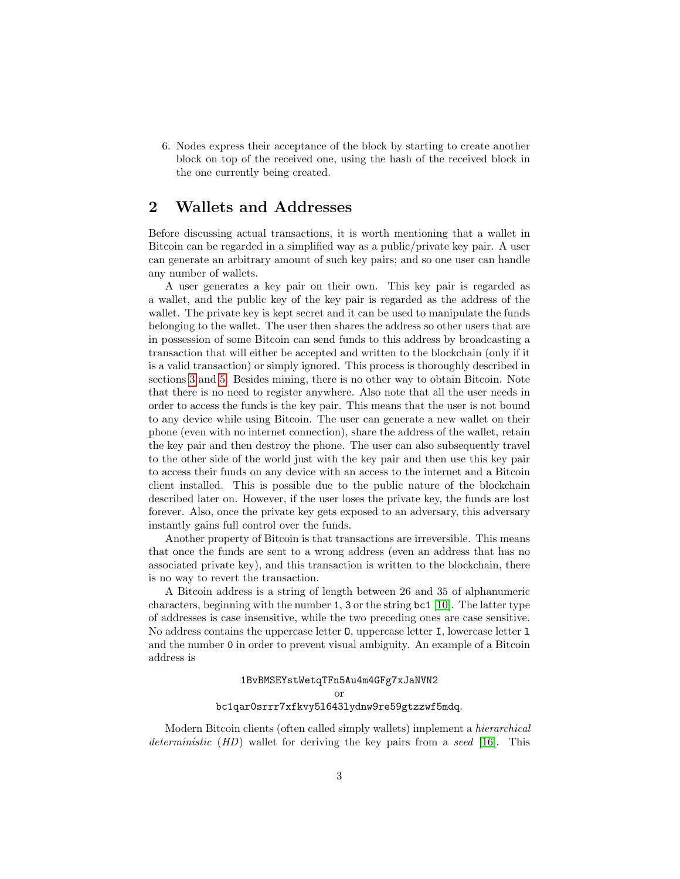6. Nodes express their acceptance of the block by starting to create another block on top of the received one, using the hash of the received block in the one currently being created.

### <span id="page-2-0"></span>2 Wallets and Addresses

Before discussing actual transactions, it is worth mentioning that a wallet in Bitcoin can be regarded in a simplified way as a public/private key pair. A user can generate an arbitrary amount of such key pairs; and so one user can handle any number of wallets.

A user generates a key pair on their own. This key pair is regarded as a wallet, and the public key of the key pair is regarded as the address of the wallet. The private key is kept secret and it can be used to manipulate the funds belonging to the wallet. The user then shares the address so other users that are in possession of some Bitcoin can send funds to this address by broadcasting a transaction that will either be accepted and written to the blockchain (only if it is a valid transaction) or simply ignored. This process is thoroughly described in sections [3](#page-3-1) and [5.](#page-10-0) Besides mining, there is no other way to obtain Bitcoin. Note that there is no need to register anywhere. Also note that all the user needs in order to access the funds is the key pair. This means that the user is not bound to any device while using Bitcoin. The user can generate a new wallet on their phone (even with no internet connection), share the address of the wallet, retain the key pair and then destroy the phone. The user can also subsequently travel to the other side of the world just with the key pair and then use this key pair to access their funds on any device with an access to the internet and a Bitcoin client installed. This is possible due to the public nature of the blockchain described later on. However, if the user loses the private key, the funds are lost forever. Also, once the private key gets exposed to an adversary, this adversary instantly gains full control over the funds.

Another property of Bitcoin is that transactions are irreversible. This means that once the funds are sent to a wrong address (even an address that has no associated private key), and this transaction is written to the blockchain, there is no way to revert the transaction.

A Bitcoin address is a string of length between 26 and 35 of alphanumeric characters, beginning with the number 1, 3 or the string bc1 [\[10\]](#page-16-2). The latter type of addresses is case insensitive, while the two preceding ones are case sensitive. No address contains the uppercase letter  $\mathbf{0}$ , uppercase letter I, lowercase letter 1 and the number 0 in order to prevent visual ambiguity. An example of a Bitcoin address is

#### 1BvBMSEYstWetqTFn5Au4m4GFg7xJaNVN2 or bc1qar0srrr7xfkvy5l643lydnw9re59gtzzwf5mdq.

Modern Bitcoin clients (often called simply wallets) implement a hierarchical deterministic (HD) wallet for deriving the key pairs from a seed [\[16\]](#page-16-3). This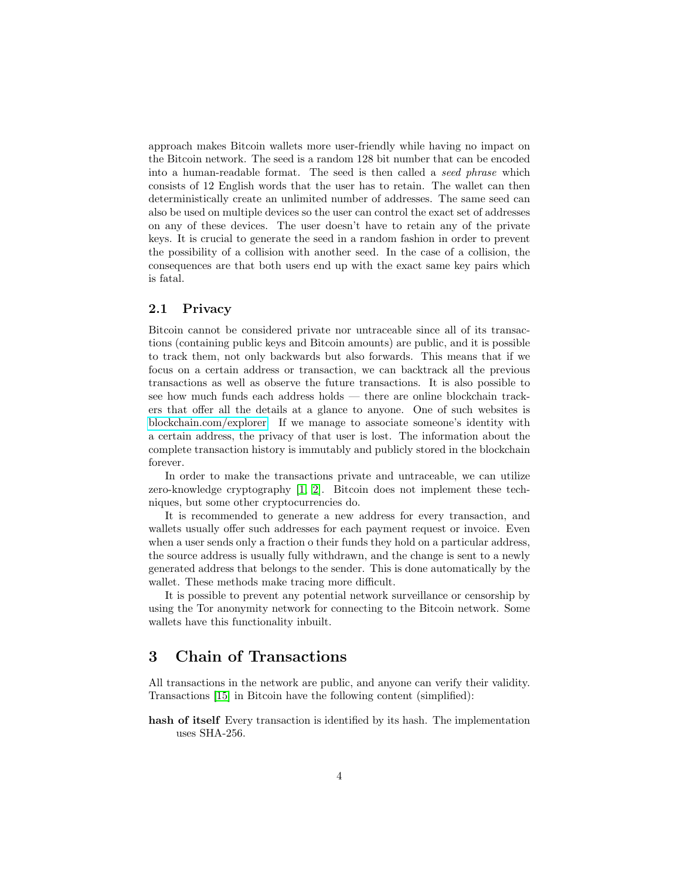approach makes Bitcoin wallets more user-friendly while having no impact on the Bitcoin network. The seed is a random 128 bit number that can be encoded into a human-readable format. The seed is then called a seed phrase which consists of 12 English words that the user has to retain. The wallet can then deterministically create an unlimited number of addresses. The same seed can also be used on multiple devices so the user can control the exact set of addresses on any of these devices. The user doesn't have to retain any of the private keys. It is crucial to generate the seed in a random fashion in order to prevent the possibility of a collision with another seed. In the case of a collision, the consequences are that both users end up with the exact same key pairs which is fatal.

#### <span id="page-3-0"></span>2.1 Privacy

Bitcoin cannot be considered private nor untraceable since all of its transactions (containing public keys and Bitcoin amounts) are public, and it is possible to track them, not only backwards but also forwards. This means that if we focus on a certain address or transaction, we can backtrack all the previous transactions as well as observe the future transactions. It is also possible to see how much funds each address holds — there are online blockchain trackers that offer all the details at a glance to anyone. One of such websites is [blockchain.com/explorer.](https://www.blockchain.com/explorer) If we manage to associate someone's identity with a certain address, the privacy of that user is lost. The information about the complete transaction history is immutably and publicly stored in the blockchain forever.

In order to make the transactions private and untraceable, we can utilize zero-knowledge cryptography [\[1,](#page-16-4) [2\]](#page-16-5). Bitcoin does not implement these techniques, but some other cryptocurrencies do.

It is recommended to generate a new address for every transaction, and wallets usually offer such addresses for each payment request or invoice. Even when a user sends only a fraction o their funds they hold on a particular address, the source address is usually fully withdrawn, and the change is sent to a newly generated address that belongs to the sender. This is done automatically by the wallet. These methods make tracing more difficult.

It is possible to prevent any potential network surveillance or censorship by using the Tor anonymity network for connecting to the Bitcoin network. Some wallets have this functionality inbuilt.

### <span id="page-3-1"></span>3 Chain of Transactions

All transactions in the network are public, and anyone can verify their validity. Transactions [\[15\]](#page-16-6) in Bitcoin have the following content (simplified):

hash of itself Every transaction is identified by its hash. The implementation uses SHA-256.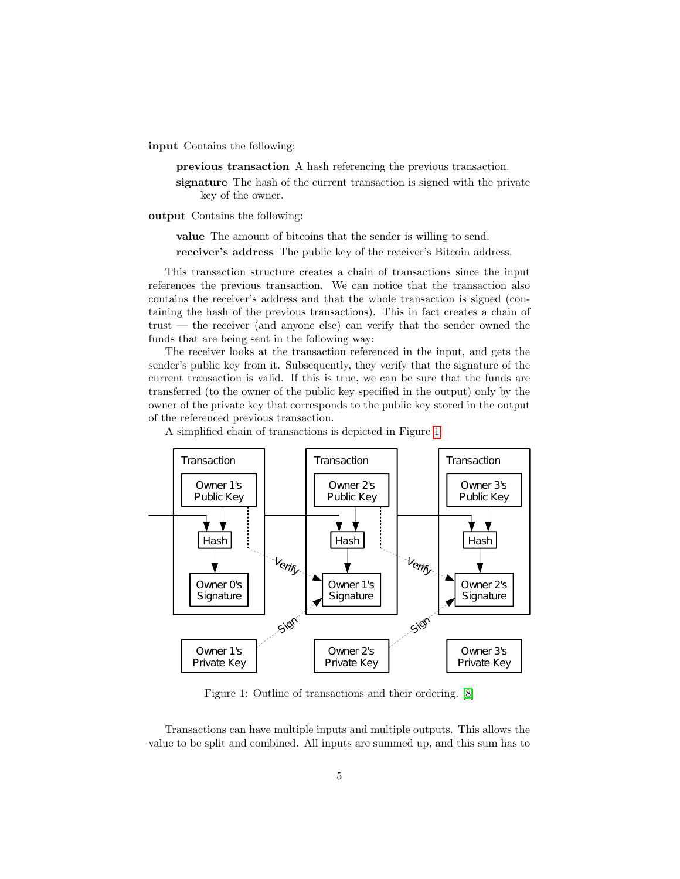input Contains the following:

previous transaction A hash referencing the previous transaction.

signature The hash of the current transaction is signed with the private key of the owner.

output Contains the following:

value The amount of bitcoins that the sender is willing to send.

receiver's address The public key of the receiver's Bitcoin address.

This transaction structure creates a chain of transactions since the input references the previous transaction. We can notice that the transaction also contains the receiver's address and that the whole transaction is signed (containing the hash of the previous transactions). This in fact creates a chain of trust — the receiver (and anyone else) can verify that the sender owned the funds that are being sent in the following way:

The receiver looks at the transaction referenced in the input, and gets the sender's public key from it. Subsequently, they verify that the signature of the current transaction is valid. If this is true, we can be sure that the funds are transferred (to the owner of the public key specified in the output) only by the owner of the private key that corresponds to the public key stored in the output of the referenced previous transaction.

A simplified chain of transactions is depicted in Figure [1.](#page-4-0)



<span id="page-4-0"></span>Figure 1: Outline of transactions and their ordering. [\[8\]](#page-16-0)

Transactions can have multiple inputs and multiple outputs. This allows the value to be split and combined. All inputs are summed up, and this sum has to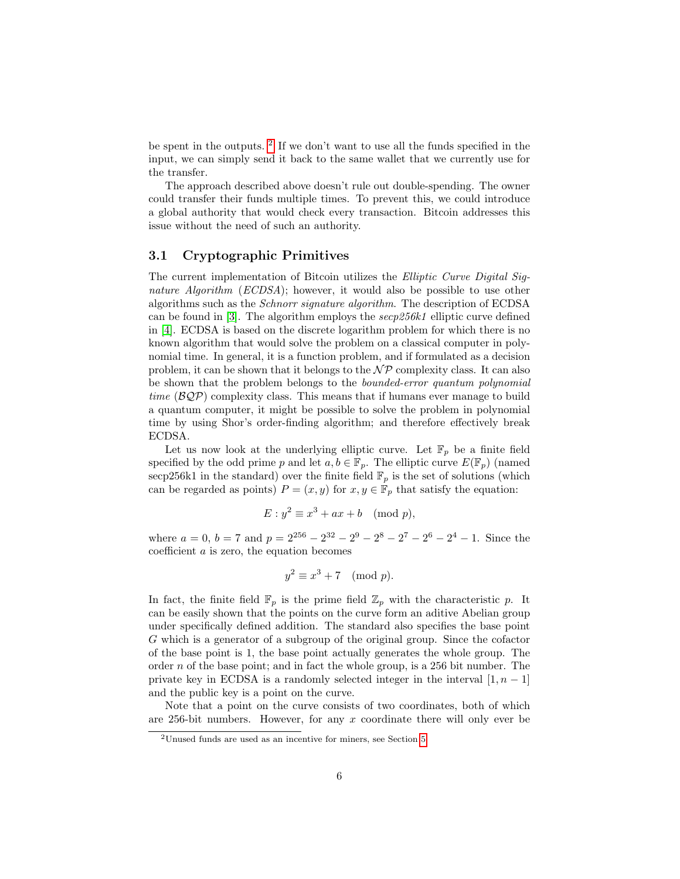be spent in the outputs. [2](#page-5-1) If we don't want to use all the funds specified in the input, we can simply send it back to the same wallet that we currently use for the transfer.

The approach described above doesn't rule out double-spending. The owner could transfer their funds multiple times. To prevent this, we could introduce a global authority that would check every transaction. Bitcoin addresses this issue without the need of such an authority.

#### <span id="page-5-0"></span>3.1 Cryptographic Primitives

The current implementation of Bitcoin utilizes the Elliptic Curve Digital Signature Algorithm (ECDSA); however, it would also be possible to use other algorithms such as the Schnorr signature algorithm. The description of ECDSA can be found in [\[3\]](#page-16-7). The algorithm employs the  $\sec p256k1$  elliptic curve defined in [\[4\]](#page-16-8). ECDSA is based on the discrete logarithm problem for which there is no known algorithm that would solve the problem on a classical computer in polynomial time. In general, it is a function problem, and if formulated as a decision problem, it can be shown that it belongs to the  $\mathcal{NP}$  complexity class. It can also be shown that the problem belongs to the bounded-error quantum polynomial time  $(\mathcal{BQP})$  complexity class. This means that if humans ever manage to build a quantum computer, it might be possible to solve the problem in polynomial time by using Shor's order-finding algorithm; and therefore effectively break ECDSA.

Let us now look at the underlying elliptic curve. Let  $\mathbb{F}_p$  be a finite field specified by the odd prime p and let  $a, b \in \mathbb{F}_p$ . The elliptic curve  $E(\mathbb{F}_p)$  (named secp256k1 in the standard) over the finite field  $\mathbb{F}_p$  is the set of solutions (which can be regarded as points)  $P = (x, y)$  for  $x, y \in \mathbb{F}_p$  that satisfy the equation:

$$
E: y^2 \equiv x^3 + ax + b \pmod{p},
$$

where  $a = 0$ ,  $b = 7$  and  $p = 2^{256} - 2^{32} - 2^9 - 2^8 - 2^7 - 2^6 - 2^4 - 1$ . Since the coefficient a is zero, the equation becomes

$$
y^2 \equiv x^3 + 7 \pmod{p}.
$$

In fact, the finite field  $\mathbb{F}_p$  is the prime field  $\mathbb{Z}_p$  with the characteristic p. It can be easily shown that the points on the curve form an aditive Abelian group under specifically defined addition. The standard also specifies the base point G which is a generator of a subgroup of the original group. Since the cofactor of the base point is 1, the base point actually generates the whole group. The order  $n$  of the base point; and in fact the whole group, is a 256 bit number. The private key in ECDSA is a randomly selected integer in the interval  $[1, n-1]$ and the public key is a point on the curve.

Note that a point on the curve consists of two coordinates, both of which are 256-bit numbers. However, for any  $x$  coordinate there will only ever be

<span id="page-5-1"></span><sup>2</sup>Unused funds are used as an incentive for miners, see Section [5.](#page-10-0)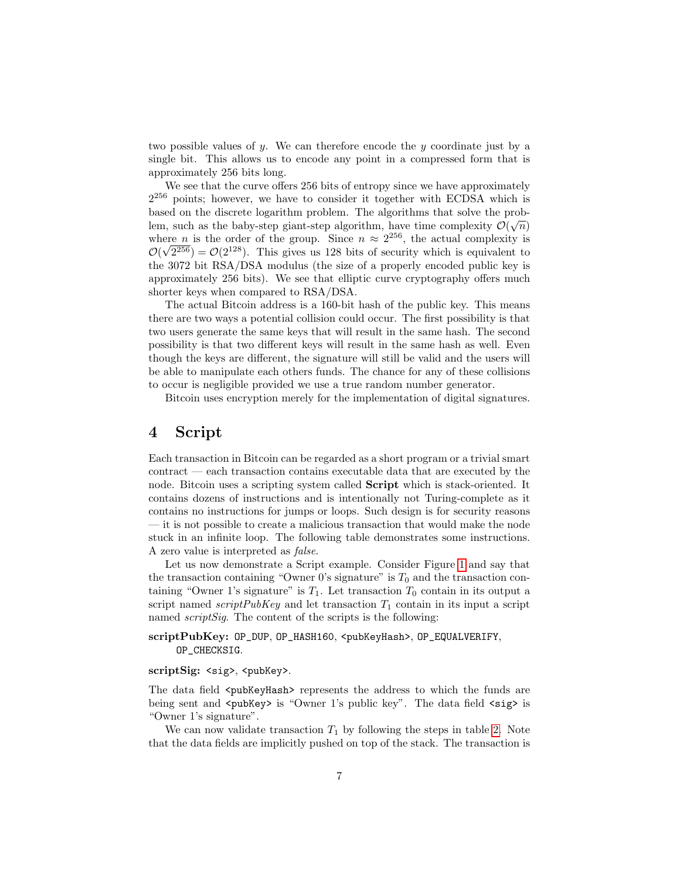two possible values of  $y$ . We can therefore encode the  $y$  coordinate just by a single bit. This allows us to encode any point in a compressed form that is approximately 256 bits long.

We see that the curve offers 256 bits of entropy since we have approximately  $2^{256}$  points; however, we have to consider it together with ECDSA which is based on the discrete logarithm problem. The algorithms that solve the problem, such as the baby-step giant-step algorithm, have time complexity  $\mathcal{O}(\sqrt{n})$ where *n* is the order of the group. Since  $n \approx 2^{256}$ , the actual complexity is  $\mathcal{O}(\sqrt{2^{256}}) = \mathcal{O}(2^{128})$ . This gives us 128 bits of security which is equivalent to the 3072 bit RSA/DSA modulus (the size of a properly encoded public key is approximately 256 bits). We see that elliptic curve cryptography offers much shorter keys when compared to RSA/DSA.

The actual Bitcoin address is a 160-bit hash of the public key. This means there are two ways a potential collision could occur. The first possibility is that two users generate the same keys that will result in the same hash. The second possibility is that two different keys will result in the same hash as well. Even though the keys are different, the signature will still be valid and the users will be able to manipulate each others funds. The chance for any of these collisions to occur is negligible provided we use a true random number generator.

Bitcoin uses encryption merely for the implementation of digital signatures.

### <span id="page-6-0"></span>4 Script

Each transaction in Bitcoin can be regarded as a short program or a trivial smart contract — each transaction contains executable data that are executed by the node. Bitcoin uses a scripting system called **Script** which is stack-oriented. It contains dozens of instructions and is intentionally not Turing-complete as it contains no instructions for jumps or loops. Such design is for security reasons — it is not possible to create a malicious transaction that would make the node stuck in an infinite loop. The following table demonstrates some instructions. A zero value is interpreted as false.

Let us now demonstrate a Script example. Consider Figure [1](#page-4-0) and say that the transaction containing "Owner 0's signature" is  $T_0$  and the transaction containing "Owner 1's signature" is  $T_1$ . Let transaction  $T_0$  contain in its output a script named  $scriptPubKey$  and let transaction  $T_1$  contain in its input a script named *scriptSig*. The content of the scripts is the following:

#### scriptPubKey: OP\_DUP, OP\_HASH160, <pubKeyHash>, OP\_EQUALVERIFY, OP\_CHECKSIG.

#### scriptSig: <sig>, <pubKey>.

The data field <pubKeyHash> represents the address to which the funds are being sent and <pubKey> is "Owner 1's public key". The data field <sig> is "Owner 1's signature".

We can now validate transaction  $T_1$  by following the steps in table [2.](#page-9-0) Note that the data fields are implicitly pushed on top of the stack. The transaction is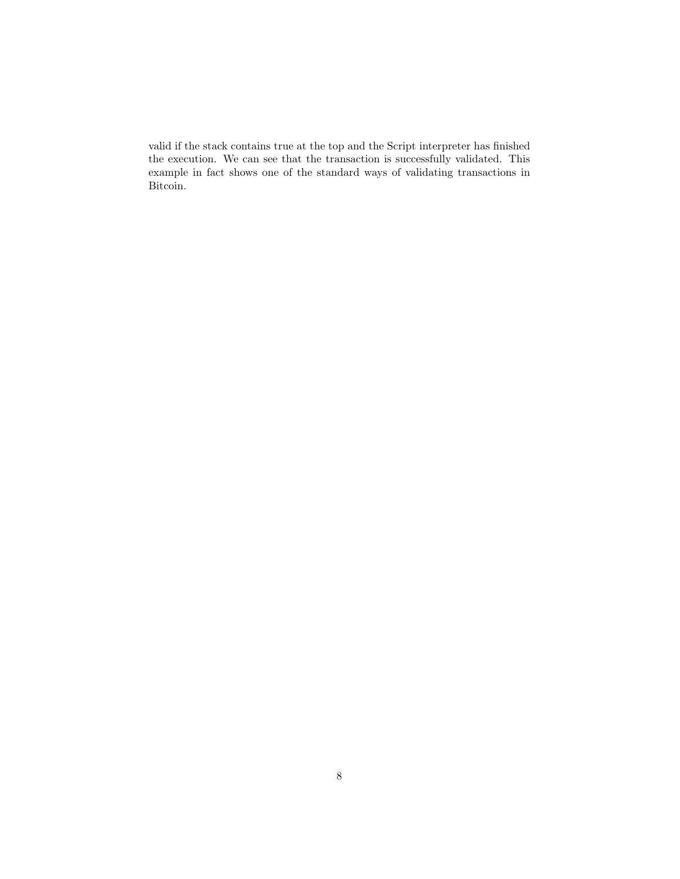valid if the stack contains true at the top and the Script interpreter has finished the execution. We can see that the transaction is successfully validated. This example in fact shows one of the standard ways of validating transactions in Bitcoin.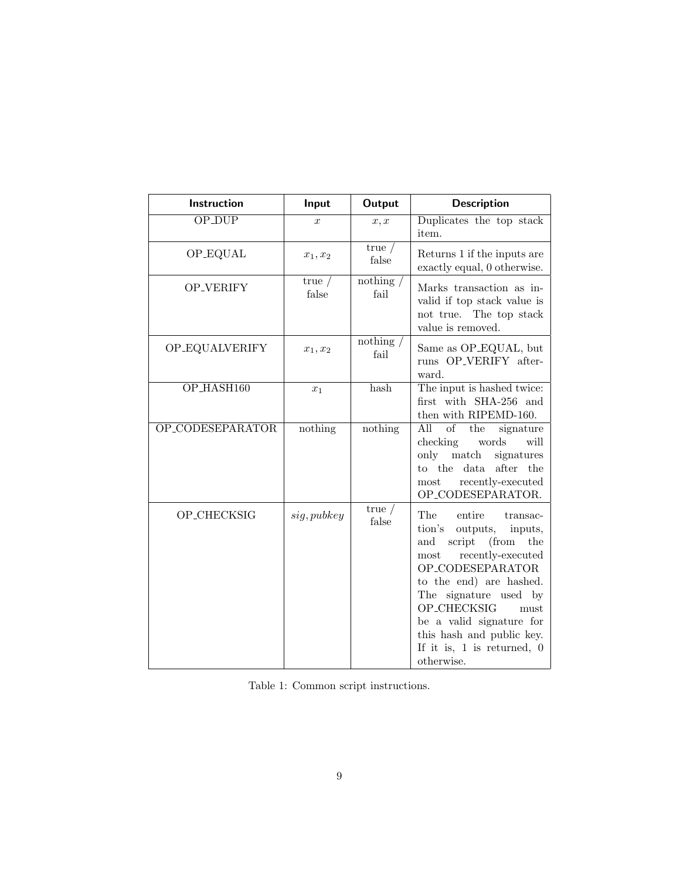| Instruction      | Input             | Output              | <b>Description</b>                                                                                                                                                                                                                                                                                                         |
|------------------|-------------------|---------------------|----------------------------------------------------------------------------------------------------------------------------------------------------------------------------------------------------------------------------------------------------------------------------------------------------------------------------|
| <b>OP_DUP</b>    | $\boldsymbol{x}$  | x, x                | Duplicates the top stack<br>item.                                                                                                                                                                                                                                                                                          |
| OP_EQUAL         | $x_1, x_2$        | true $/$<br>false   | Returns 1 if the inputs are<br>exactly equal, 0 otherwise.                                                                                                                                                                                                                                                                 |
| OP_VERIFY        | true $/$<br>false | nothing $/$<br>fail | Marks transaction as in-<br>valid if top stack value is<br>not true. The top stack<br>value is removed.                                                                                                                                                                                                                    |
| OP_EQUALVERIFY   | $x_1, x_2$        | nothing $/$<br>fail | Same as OP_EQUAL, but<br>runs OP_VERIFY after-<br>ward.                                                                                                                                                                                                                                                                    |
| OP_HASH160       | $x_1$             | hash                | The input is hashed twice:<br>first with SHA-256 and<br>then with RIPEMD-160.                                                                                                                                                                                                                                              |
| OP_CODESEPARATOR | nothing           | nothing             | All<br>of<br>the<br>signature<br>checking<br>words<br>will<br>only match<br>signatures<br>to the<br>data<br>after the<br>recently-executed<br>most<br>OP_CODESEPARATOR.                                                                                                                                                    |
| OP_CHECKSIG      | sig, pubkey       | true /<br>false     | The<br>entire<br>transac-<br>outputs,<br>tion's<br>inputs,<br>script (from the<br>and<br>recently-executed<br>most<br>OP_CODESEPARATOR<br>to the end) are hashed.<br>The signature used by<br>OP_CHECKSIG<br>must<br>be a valid signature for<br>this hash and public key.<br>If it is, $1$ is returned, $0$<br>otherwise. |

Table 1: Common script instructions.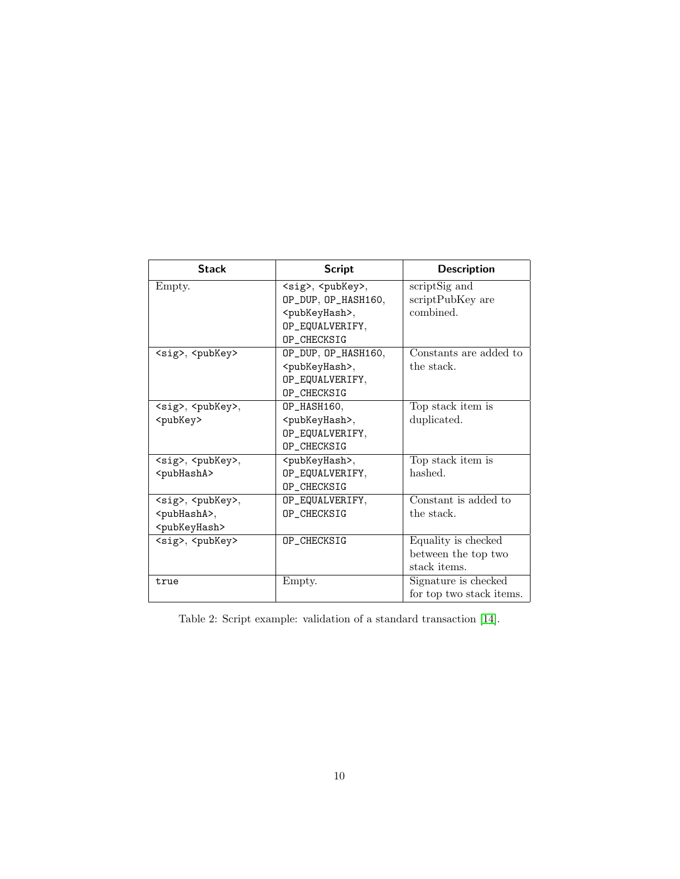| <b>Stack</b>                    | <b>Script</b>                   | <b>Description</b>       |
|---------------------------------|---------------------------------|--------------------------|
| Empty.                          | <sig>, <pubkey>,</pubkey></sig> | scriptSig and            |
|                                 | OP_DUP, OP_HASH160,             | scriptPubKey are         |
|                                 | <pubkeyhash>,</pubkeyhash>      | combined.                |
|                                 | OP_EQUALVERIFY,                 |                          |
|                                 | OP CHECKSIG                     |                          |
| <sig>, <pubkey></pubkey></sig>  | OP_DUP, OP_HASH160,             | Constants are added to   |
|                                 | <pubkeyhash>,</pubkeyhash>      | the stack.               |
|                                 | OP_EQUALVERIFY,                 |                          |
|                                 | OP CHECKSIG                     |                          |
| <sig>, <pubkey>,</pubkey></sig> | OP_HASH160,                     | Top stack item is        |
| <pubkey></pubkey>               | <pubkeyhash>,</pubkeyhash>      | duplicated.              |
|                                 | OP_EQUALVERIFY,                 |                          |
|                                 | OP CHECKSIG                     |                          |
| <sig>, <pubkey>,</pubkey></sig> | <pubkeyhash>,</pubkeyhash>      | Top stack item is        |
| <pubhasha></pubhasha>           | OP_EQUALVERIFY,                 | hashed.                  |
|                                 | OP CHECKSIG                     |                          |
| <sig>, <pubkey>,</pubkey></sig> | OP_EQUALVERIFY,                 | Constant is added to     |
| <pubhasha>,</pubhasha>          | OP_CHECKSIG                     | the stack.               |
| <pubkeyhash></pubkeyhash>       |                                 |                          |
| <sig>, <pubkey></pubkey></sig>  | OP_CHECKSIG                     | Equality is checked      |
|                                 |                                 | between the top two      |
|                                 |                                 | stack items.             |
| true                            | Empty.                          | Signature is checked     |
|                                 |                                 | for top two stack items. |

<span id="page-9-0"></span>Table 2: Script example: validation of a standard transaction [\[14\]](#page-16-9).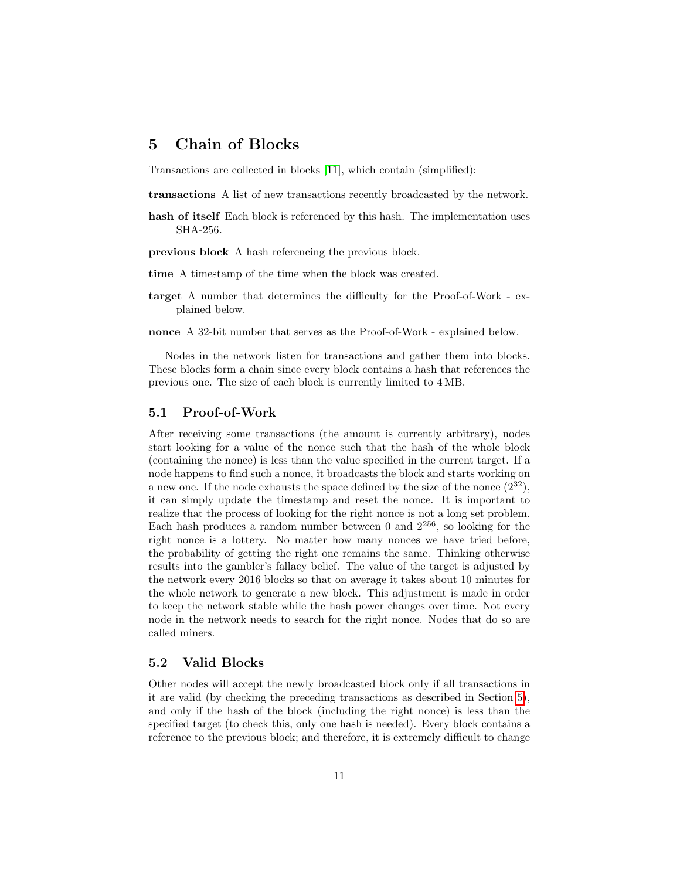### <span id="page-10-0"></span>5 Chain of Blocks

Transactions are collected in blocks [\[11\]](#page-16-10), which contain (simplified):

transactions A list of new transactions recently broadcasted by the network.

hash of itself Each block is referenced by this hash. The implementation uses SHA-256.

previous block A hash referencing the previous block.

- time A timestamp of the time when the block was created.
- target A number that determines the difficulty for the Proof-of-Work explained below.

nonce A 32-bit number that serves as the Proof-of-Work - explained below.

Nodes in the network listen for transactions and gather them into blocks. These blocks form a chain since every block contains a hash that references the previous one. The size of each block is currently limited to 4 MB.

#### <span id="page-10-1"></span>5.1 Proof-of-Work

After receiving some transactions (the amount is currently arbitrary), nodes start looking for a value of the nonce such that the hash of the whole block (containing the nonce) is less than the value specified in the current target. If a node happens to find such a nonce, it broadcasts the block and starts working on a new one. If the node exhausts the space defined by the size of the nonce  $(2^{32})$ , it can simply update the timestamp and reset the nonce. It is important to realize that the process of looking for the right nonce is not a long set problem. Each hash produces a random number between 0 and  $2^{256}$ , so looking for the right nonce is a lottery. No matter how many nonces we have tried before, the probability of getting the right one remains the same. Thinking otherwise results into the gambler's fallacy belief. The value of the target is adjusted by the network every 2016 blocks so that on average it takes about 10 minutes for the whole network to generate a new block. This adjustment is made in order to keep the network stable while the hash power changes over time. Not every node in the network needs to search for the right nonce. Nodes that do so are called miners.

#### <span id="page-10-2"></span>5.2 Valid Blocks

Other nodes will accept the newly broadcasted block only if all transactions in it are valid (by checking the preceding transactions as described in Section [5\)](#page-10-0), and only if the hash of the block (including the right nonce) is less than the specified target (to check this, only one hash is needed). Every block contains a reference to the previous block; and therefore, it is extremely difficult to change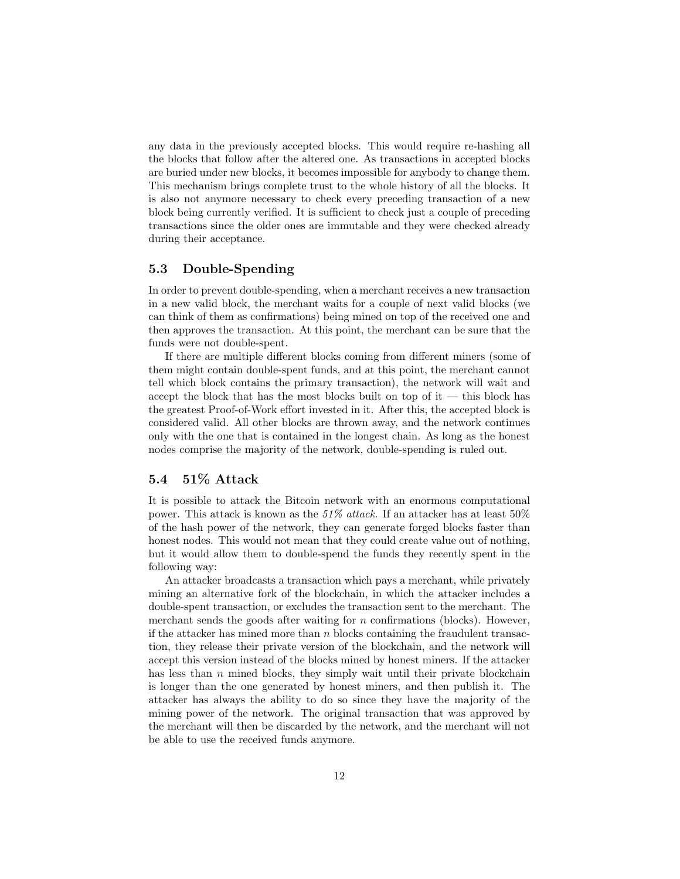any data in the previously accepted blocks. This would require re-hashing all the blocks that follow after the altered one. As transactions in accepted blocks are buried under new blocks, it becomes impossible for anybody to change them. This mechanism brings complete trust to the whole history of all the blocks. It is also not anymore necessary to check every preceding transaction of a new block being currently verified. It is sufficient to check just a couple of preceding transactions since the older ones are immutable and they were checked already during their acceptance.

#### <span id="page-11-0"></span>5.3 Double-Spending

In order to prevent double-spending, when a merchant receives a new transaction in a new valid block, the merchant waits for a couple of next valid blocks (we can think of them as confirmations) being mined on top of the received one and then approves the transaction. At this point, the merchant can be sure that the funds were not double-spent.

If there are multiple different blocks coming from different miners (some of them might contain double-spent funds, and at this point, the merchant cannot tell which block contains the primary transaction), the network will wait and accept the block that has the most blocks built on top of it  $-$  this block has the greatest Proof-of-Work effort invested in it. After this, the accepted block is considered valid. All other blocks are thrown away, and the network continues only with the one that is contained in the longest chain. As long as the honest nodes comprise the majority of the network, double-spending is ruled out.

#### <span id="page-11-1"></span>5.4 51% Attack

It is possible to attack the Bitcoin network with an enormous computational power. This attack is known as the  $51\%$  attack. If an attacker has at least  $50\%$ of the hash power of the network, they can generate forged blocks faster than honest nodes. This would not mean that they could create value out of nothing, but it would allow them to double-spend the funds they recently spent in the following way:

An attacker broadcasts a transaction which pays a merchant, while privately mining an alternative fork of the blockchain, in which the attacker includes a double-spent transaction, or excludes the transaction sent to the merchant. The merchant sends the goods after waiting for  $n$  confirmations (blocks). However, if the attacker has mined more than  $n$  blocks containing the fraudulent transaction, they release their private version of the blockchain, and the network will accept this version instead of the blocks mined by honest miners. If the attacker has less than  $n$  mined blocks, they simply wait until their private blockchain is longer than the one generated by honest miners, and then publish it. The attacker has always the ability to do so since they have the majority of the mining power of the network. The original transaction that was approved by the merchant will then be discarded by the network, and the merchant will not be able to use the received funds anymore.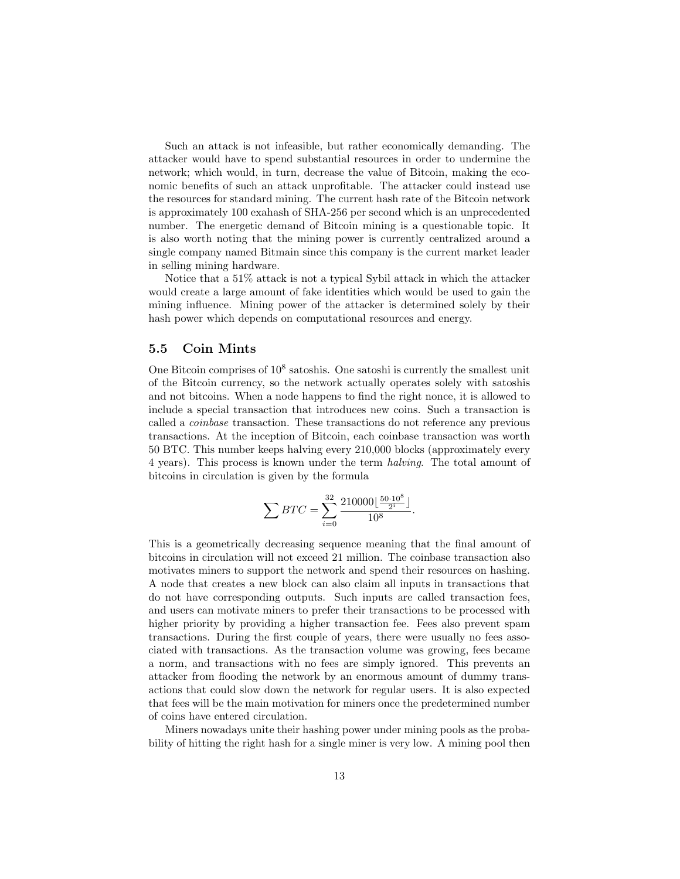Such an attack is not infeasible, but rather economically demanding. The attacker would have to spend substantial resources in order to undermine the network; which would, in turn, decrease the value of Bitcoin, making the economic benefits of such an attack unprofitable. The attacker could instead use the resources for standard mining. The current hash rate of the Bitcoin network is approximately 100 exahash of SHA-256 per second which is an unprecedented number. The energetic demand of Bitcoin mining is a questionable topic. It is also worth noting that the mining power is currently centralized around a single company named Bitmain since this company is the current market leader in selling mining hardware.

Notice that a 51% attack is not a typical Sybil attack in which the attacker would create a large amount of fake identities which would be used to gain the mining influence. Mining power of the attacker is determined solely by their hash power which depends on computational resources and energy.

#### <span id="page-12-0"></span>5.5 Coin Mints

One Bitcoin comprises of  $10^8$  satoshis. One satoshi is currently the smallest unit of the Bitcoin currency, so the network actually operates solely with satoshis and not bitcoins. When a node happens to find the right nonce, it is allowed to include a special transaction that introduces new coins. Such a transaction is called a coinbase transaction. These transactions do not reference any previous transactions. At the inception of Bitcoin, each coinbase transaction was worth 50 BTC. This number keeps halving every 210,000 blocks (approximately every 4 years). This process is known under the term halving. The total amount of bitcoins in circulation is given by the formula

$$
\sum BTC = \sum_{i=0}^{32} \frac{210000 \left\lfloor \frac{50 \cdot 10^8}{2^i} \right\rfloor}{10^8}.
$$

This is a geometrically decreasing sequence meaning that the final amount of bitcoins in circulation will not exceed 21 million. The coinbase transaction also motivates miners to support the network and spend their resources on hashing. A node that creates a new block can also claim all inputs in transactions that do not have corresponding outputs. Such inputs are called transaction fees, and users can motivate miners to prefer their transactions to be processed with higher priority by providing a higher transaction fee. Fees also prevent spam transactions. During the first couple of years, there were usually no fees associated with transactions. As the transaction volume was growing, fees became a norm, and transactions with no fees are simply ignored. This prevents an attacker from flooding the network by an enormous amount of dummy transactions that could slow down the network for regular users. It is also expected that fees will be the main motivation for miners once the predetermined number of coins have entered circulation.

Miners nowadays unite their hashing power under mining pools as the probability of hitting the right hash for a single miner is very low. A mining pool then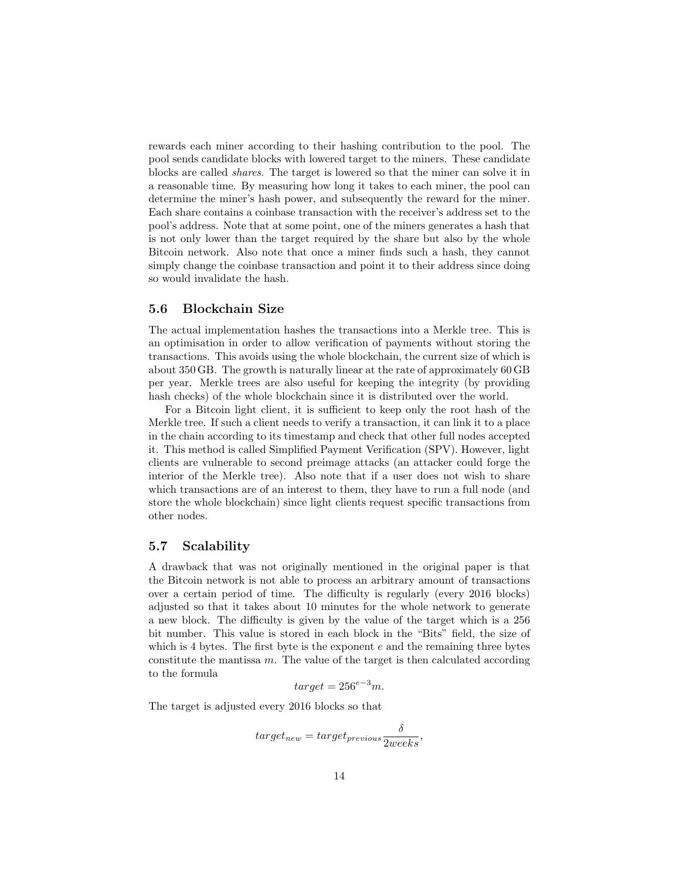rewards each miner according to their hashing contribution to the pool. The pool sends candidate blocks with lowered target to the miners. These candidate blocks are called shares. The target is lowered so that the miner can solve it in a reasonable time. By measuring how long it takes to each miner, the pool can determine the miner's hash power, and subsequently the reward for the miner. Each share contains a coinbase transaction with the receiver's address set to the pool's address. Note that at some point, one of the miners generates a hash that is not only lower than the target required by the share but also by the whole Bitcoin network. Also note that once a miner finds such a hash, they cannot simply change the coinbase transaction and point it to their address since doing so would invalidate the hash.

#### <span id="page-13-0"></span>5.6 Blockchain Size

The actual implementation hashes the transactions into a Merkle tree. This is an optimisation in order to allow verification of payments without storing the transactions. This avoids using the whole blockchain, the current size of which is about 350 GB. The growth is naturally linear at the rate of approximately 60 GB per year. Merkle trees are also useful for keeping the integrity (by providing hash checks) of the whole blockchain since it is distributed over the world.

For a Bitcoin light client, it is sufficient to keep only the root hash of the Merkle tree. If such a client needs to verify a transaction, it can link it to a place in the chain according to its timestamp and check that other full nodes accepted it. This method is called Simplified Payment Verification (SPV). However, light clients are vulnerable to second preimage attacks (an attacker could forge the interior of the Merkle tree). Also note that if a user does not wish to share which transactions are of an interest to them, they have to run a full node (and store the whole blockchain) since light clients request specific transactions from other nodes.

#### <span id="page-13-1"></span>5.7 Scalability

A drawback that was not originally mentioned in the original paper is that the Bitcoin network is not able to process an arbitrary amount of transactions over a certain period of time. The difficulty is regularly (every 2016 blocks) adjusted so that it takes about 10 minutes for the whole network to generate a new block. The difficulty is given by the value of the target which is a 256 bit number. This value is stored in each block in the "Bits" field, the size of which is 4 bytes. The first byte is the exponent  $e$  and the remaining three bytes constitute the mantissa  $m$ . The value of the target is then calculated according to the formula

$$
target = 256^{e-3}m.
$$

The target is adjusted every 2016 blocks so that

$$
target_{new} = target_{previous} \frac{\delta}{2 weeks},
$$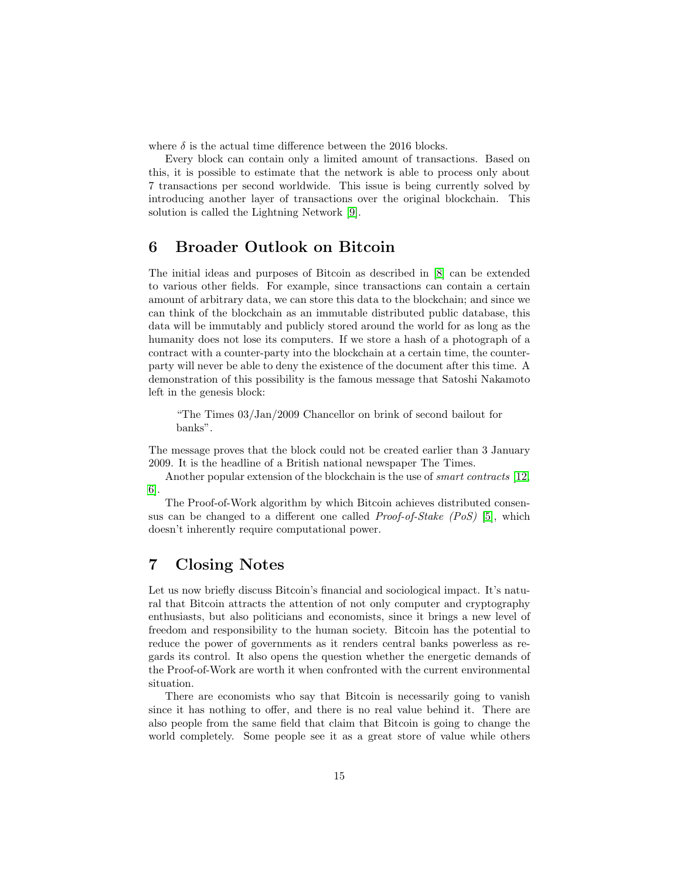where  $\delta$  is the actual time difference between the 2016 blocks.

Every block can contain only a limited amount of transactions. Based on this, it is possible to estimate that the network is able to process only about 7 transactions per second worldwide. This issue is being currently solved by introducing another layer of transactions over the original blockchain. This solution is called the Lightning Network [\[9\]](#page-16-11).

### <span id="page-14-0"></span>6 Broader Outlook on Bitcoin

The initial ideas and purposes of Bitcoin as described in [\[8\]](#page-16-0) can be extended to various other fields. For example, since transactions can contain a certain amount of arbitrary data, we can store this data to the blockchain; and since we can think of the blockchain as an immutable distributed public database, this data will be immutably and publicly stored around the world for as long as the humanity does not lose its computers. If we store a hash of a photograph of a contract with a counter-party into the blockchain at a certain time, the counterparty will never be able to deny the existence of the document after this time. A demonstration of this possibility is the famous message that Satoshi Nakamoto left in the genesis block:

"The Times 03/Jan/2009 Chancellor on brink of second bailout for banks".

The message proves that the block could not be created earlier than 3 January 2009. It is the headline of a British national newspaper The Times.

Another popular extension of the blockchain is the use of *smart contracts* [\[12,](#page-16-12) [6\]](#page-16-13).

The Proof-of-Work algorithm by which Bitcoin achieves distributed consensus can be changed to a different one called Proof-of-Stake (PoS) [\[5\]](#page-16-14), which doesn't inherently require computational power.

### <span id="page-14-1"></span>7 Closing Notes

Let us now briefly discuss Bitcoin's financial and sociological impact. It's natural that Bitcoin attracts the attention of not only computer and cryptography enthusiasts, but also politicians and economists, since it brings a new level of freedom and responsibility to the human society. Bitcoin has the potential to reduce the power of governments as it renders central banks powerless as regards its control. It also opens the question whether the energetic demands of the Proof-of-Work are worth it when confronted with the current environmental situation.

There are economists who say that Bitcoin is necessarily going to vanish since it has nothing to offer, and there is no real value behind it. There are also people from the same field that claim that Bitcoin is going to change the world completely. Some people see it as a great store of value while others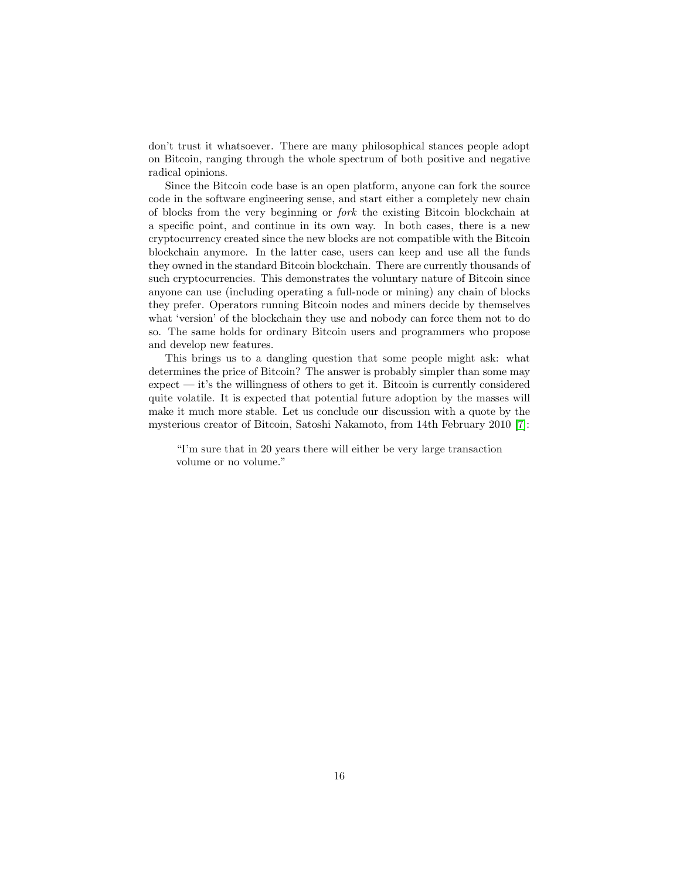don't trust it whatsoever. There are many philosophical stances people adopt on Bitcoin, ranging through the whole spectrum of both positive and negative radical opinions.

Since the Bitcoin code base is an open platform, anyone can fork the source code in the software engineering sense, and start either a completely new chain of blocks from the very beginning or fork the existing Bitcoin blockchain at a specific point, and continue in its own way. In both cases, there is a new cryptocurrency created since the new blocks are not compatible with the Bitcoin blockchain anymore. In the latter case, users can keep and use all the funds they owned in the standard Bitcoin blockchain. There are currently thousands of such cryptocurrencies. This demonstrates the voluntary nature of Bitcoin since anyone can use (including operating a full-node or mining) any chain of blocks they prefer. Operators running Bitcoin nodes and miners decide by themselves what 'version' of the blockchain they use and nobody can force them not to do so. The same holds for ordinary Bitcoin users and programmers who propose and develop new features.

This brings us to a dangling question that some people might ask: what determines the price of Bitcoin? The answer is probably simpler than some may expect — it's the willingness of others to get it. Bitcoin is currently considered quite volatile. It is expected that potential future adoption by the masses will make it much more stable. Let us conclude our discussion with a quote by the mysterious creator of Bitcoin, Satoshi Nakamoto, from 14th February 2010 [\[7\]](#page-16-15):

"I'm sure that in 20 years there will either be very large transaction volume or no volume."